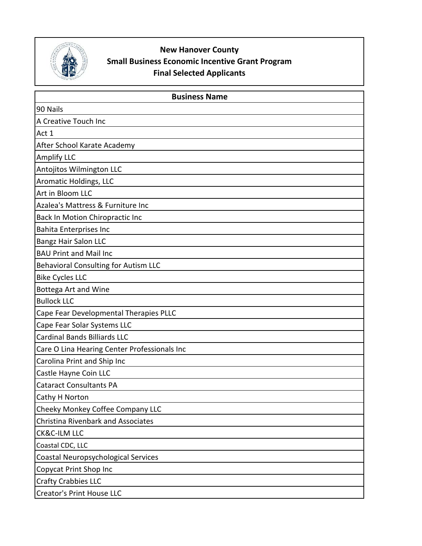

## **New Hanover County Small Business Economic Incentive Grant Program Final Selected Applicants**

| <b>Business Name</b>                         |
|----------------------------------------------|
| 90 Nails                                     |
| A Creative Touch Inc                         |
| Act 1                                        |
| After School Karate Academy                  |
| <b>Amplify LLC</b>                           |
| Antojitos Wilmington LLC                     |
| Aromatic Holdings, LLC                       |
| Art in Bloom LLC                             |
| Azalea's Mattress & Furniture Inc            |
| Back In Motion Chiropractic Inc              |
| <b>Bahita Enterprises Inc</b>                |
| <b>Bangz Hair Salon LLC</b>                  |
| <b>BAU Print and Mail Inc</b>                |
| <b>Behavioral Consulting for Autism LLC</b>  |
| <b>Bike Cycles LLC</b>                       |
| <b>Bottega Art and Wine</b>                  |
| <b>Bullock LLC</b>                           |
| Cape Fear Developmental Therapies PLLC       |
| Cape Fear Solar Systems LLC                  |
| <b>Cardinal Bands Billiards LLC</b>          |
| Care O Lina Hearing Center Professionals Inc |
| Carolina Print and Ship Inc                  |
| Castle Hayne Coin LLC                        |
| <b>Cataract Consultants PA</b>               |
| <b>Cathy H Norton</b>                        |
| Cheeky Monkey Coffee Company LLC             |
| <b>Christina Rivenbark and Associates</b>    |
| CK&C-ILM LLC                                 |
| Coastal CDC, LLC                             |
| Coastal Neuropsychological Services          |
| Copycat Print Shop Inc                       |
| <b>Crafty Crabbies LLC</b>                   |
| <b>Creator's Print House LLC</b>             |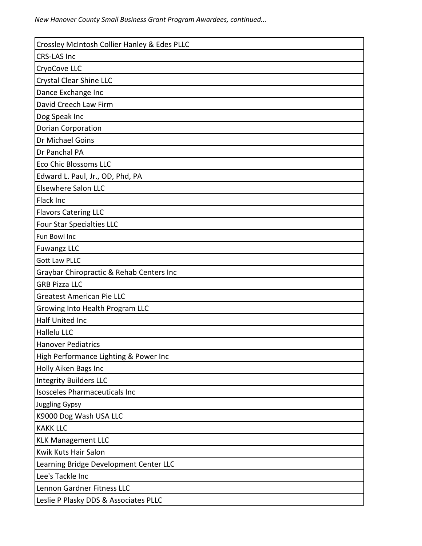| Crossley McIntosh Collier Hanley & Edes PLLC |
|----------------------------------------------|
| <b>CRS-LAS Inc</b>                           |
| CryoCove LLC                                 |
| Crystal Clear Shine LLC                      |
| Dance Exchange Inc                           |
| David Creech Law Firm                        |
| Dog Speak Inc                                |
| <b>Dorian Corporation</b>                    |
| Dr Michael Goins                             |
| Dr Panchal PA                                |
| <b>Eco Chic Blossoms LLC</b>                 |
| Edward L. Paul, Jr., OD, Phd, PA             |
| <b>Elsewhere Salon LLC</b>                   |
| Flack Inc                                    |
| <b>Flavors Catering LLC</b>                  |
| Four Star Specialties LLC                    |
| Fun Bowl Inc                                 |
| <b>Fuwangz LLC</b>                           |
| <b>Gott Law PLLC</b>                         |
| Graybar Chiropractic & Rehab Centers Inc     |
| <b>GRB Pizza LLC</b>                         |
| <b>Greatest American Pie LLC</b>             |
| Growing Into Health Program LLC              |
| Half United Inc                              |
| Hallelu LLC                                  |
| <b>Hanover Pediatrics</b>                    |
| High Performance Lighting & Power Inc        |
| Holly Aiken Bags Inc                         |
| <b>Integrity Builders LLC</b>                |
| <b>Isosceles Pharmaceuticals Inc</b>         |
| <b>Juggling Gypsy</b>                        |
| K9000 Dog Wash USA LLC                       |
| <b>KAKK LLC</b>                              |
| <b>KLK Management LLC</b>                    |
| Kwik Kuts Hair Salon                         |
| Learning Bridge Development Center LLC       |
| Lee's Tackle Inc                             |
| Lennon Gardner Fitness LLC                   |
| Leslie P Plasky DDS & Associates PLLC        |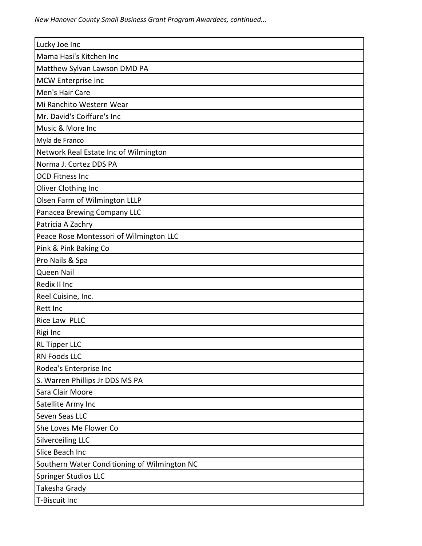*New Hanover County Small Business Grant Program Awardees, continued...*

| Lucky Joe Inc                                |
|----------------------------------------------|
| Mama Hasi's Kitchen Inc                      |
| Matthew Sylvan Lawson DMD PA                 |
| MCW Enterprise Inc                           |
| Men's Hair Care                              |
| Mi Ranchito Western Wear                     |
| Mr. David's Coiffure's Inc                   |
| Music & More Inc                             |
| Myla de Franco                               |
| Network Real Estate Inc of Wilmington        |
| Norma J. Cortez DDS PA                       |
| <b>OCD Fitness Inc</b>                       |
| Oliver Clothing Inc                          |
| Olsen Farm of Wilmington LLLP                |
| Panacea Brewing Company LLC                  |
| Patricia A Zachry                            |
| Peace Rose Montessori of Wilmington LLC      |
| Pink & Pink Baking Co                        |
| Pro Nails & Spa                              |
| Queen Nail                                   |
| Redix II Inc                                 |
| Reel Cuisine, Inc.                           |
| Rett Inc                                     |
| Rice Law PLLC                                |
| Rigi Inc                                     |
| <b>RL Tipper LLC</b>                         |
| <b>RN Foods LLC</b>                          |
| Rodea's Enterprise Inc                       |
| S. Warren Phillips Jr DDS MS PA              |
| Sara Clair Moore                             |
| Satellite Army Inc                           |
| Seven Seas LLC                               |
| She Loves Me Flower Co                       |
| <b>Silverceiling LLC</b>                     |
| Slice Beach Inc                              |
| Southern Water Conditioning of Wilmington NC |
| Springer Studios LLC                         |
| Takesha Grady                                |
| <b>T-Biscuit Inc</b>                         |